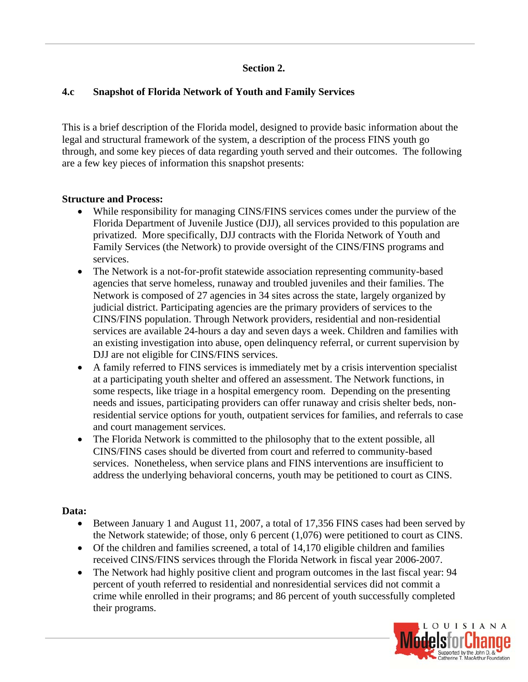## **Section 2.**

## **4.c Snapshot of Florida Network of Youth and Family Services**

This is a brief description of the Florida model, designed to provide basic information about the legal and structural framework of the system, a description of the process FINS youth go through, and some key pieces of data regarding youth served and their outcomes. The following are a few key pieces of information this snapshot presents:

### **Structure and Process:**

- While responsibility for managing CINS/FINS services comes under the purview of the Florida Department of Juvenile Justice (DJJ), all services provided to this population are privatized. More specifically, DJJ contracts with the Florida Network of Youth and Family Services (the Network) to provide oversight of the CINS/FINS programs and services.
- The Network is a not-for-profit statewide association representing community-based agencies that serve homeless, runaway and troubled juveniles and their families. The Network is composed of 27 agencies in 34 sites across the state, largely organized by judicial district. Participating agencies are the primary providers of services to the CINS/FINS population. Through Network providers, residential and non-residential services are available 24-hours a day and seven days a week. Children and families with an existing investigation into abuse, open delinquency referral, or current supervision by DJJ are not eligible for CINS/FINS services.
- A family referred to FINS services is immediately met by a crisis intervention specialist at a participating youth shelter and offered an assessment. The Network functions, in some respects, like triage in a hospital emergency room. Depending on the presenting needs and issues, participating providers can offer runaway and crisis shelter beds, nonresidential service options for youth, outpatient services for families, and referrals to case and court management services.
- The Florida Network is committed to the philosophy that to the extent possible, all CINS/FINS cases should be diverted from court and referred to community-based services. Nonetheless, when service plans and FINS interventions are insufficient to address the underlying behavioral concerns, youth may be petitioned to court as CINS.

#### **Data:**

- Between January 1 and August 11, 2007, a total of 17,356 FINS cases had been served by the Network statewide; of those, only 6 percent (1,076) were petitioned to court as CINS.
- Of the children and families screened, a total of 14,170 eligible children and families received CINS/FINS services through the Florida Network in fiscal year 2006-2007.
- The Network had highly positive client and program outcomes in the last fiscal year: 94 percent of youth referred to residential and nonresidential services did not commit a crime while enrolled in their programs; and 86 percent of youth successfully completed their programs.

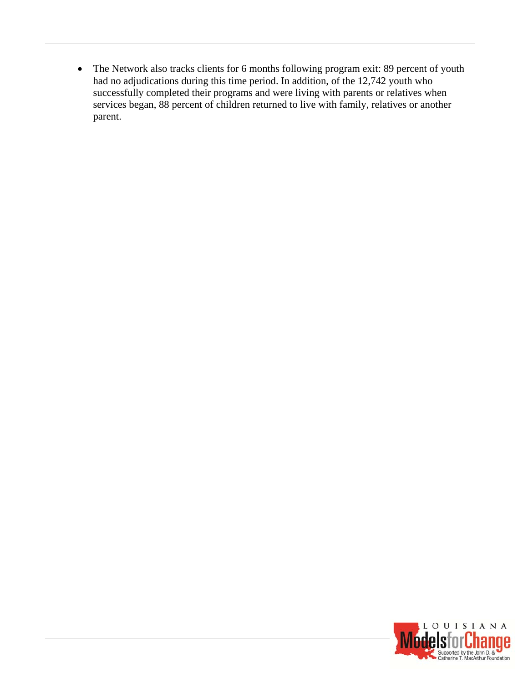The Network also tracks clients for 6 months following program exit: 89 percent of youth had no adjudications during this time period. In addition, of the 12,742 youth who successfully completed their programs and were living with parents or relatives when services began, 88 percent of children returned to live with family, relatives or another parent.

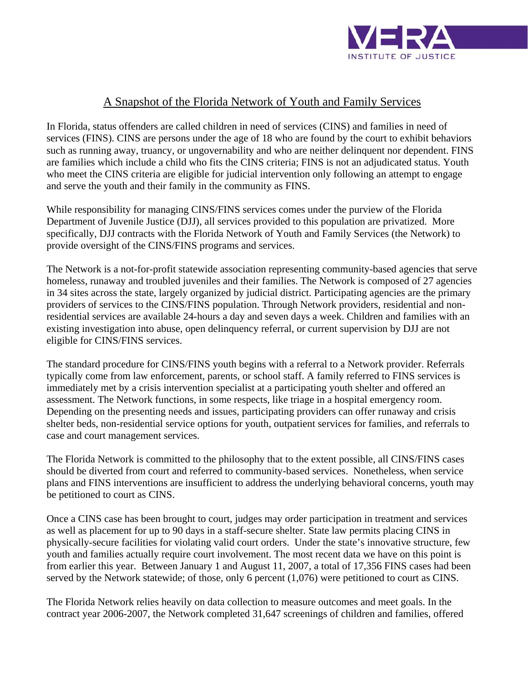

# A Snapshot of the Florida Network of Youth and Family Services

In Florida, status offenders are called children in need of services (CINS) and families in need of services (FINS). CINS are persons under the age of 18 who are found by the court to exhibit behaviors such as running away, truancy, or ungovernability and who are neither delinquent nor dependent. FINS are families which include a child who fits the CINS criteria; FINS is not an adjudicated status. Youth who meet the CINS criteria are eligible for judicial intervention only following an attempt to engage and serve the youth and their family in the community as FINS.

While responsibility for managing CINS/FINS services comes under the purview of the Florida Department of Juvenile Justice (DJJ), all services provided to this population are privatized. More specifically, DJJ contracts with the Florida Network of Youth and Family Services (the Network) to provide oversight of the CINS/FINS programs and services.

The Network is a not-for-profit statewide association representing community-based agencies that serve homeless, runaway and troubled juveniles and their families. The Network is composed of 27 agencies in 34 sites across the state, largely organized by judicial district. Participating agencies are the primary providers of services to the CINS/FINS population. Through Network providers, residential and nonresidential services are available 24-hours a day and seven days a week. Children and families with an existing investigation into abuse, open delinquency referral, or current supervision by DJJ are not eligible for CINS/FINS services.

The standard procedure for CINS/FINS youth begins with a referral to a Network provider. Referrals typically come from law enforcement, parents, or school staff. A family referred to FINS services is immediately met by a crisis intervention specialist at a participating youth shelter and offered an assessment. The Network functions, in some respects, like triage in a hospital emergency room. Depending on the presenting needs and issues, participating providers can offer runaway and crisis shelter beds, non-residential service options for youth, outpatient services for families, and referrals to case and court management services.

The Florida Network is committed to the philosophy that to the extent possible, all CINS/FINS cases should be diverted from court and referred to community-based services. Nonetheless, when service plans and FINS interventions are insufficient to address the underlying behavioral concerns, youth may be petitioned to court as CINS.

Once a CINS case has been brought to court, judges may order participation in treatment and services as well as placement for up to 90 days in a staff-secure shelter. State law permits placing CINS in physically-secure facilities for violating valid court orders. Under the state's innovative structure, few youth and families actually require court involvement. The most recent data we have on this point is from earlier this year. Between January 1 and August 11, 2007, a total of 17,356 FINS cases had been served by the Network statewide; of those, only 6 percent (1,076) were petitioned to court as CINS.

The Florida Network relies heavily on data collection to measure outcomes and meet goals. In the contract year 2006-2007, the Network completed 31,647 screenings of children and families, offered